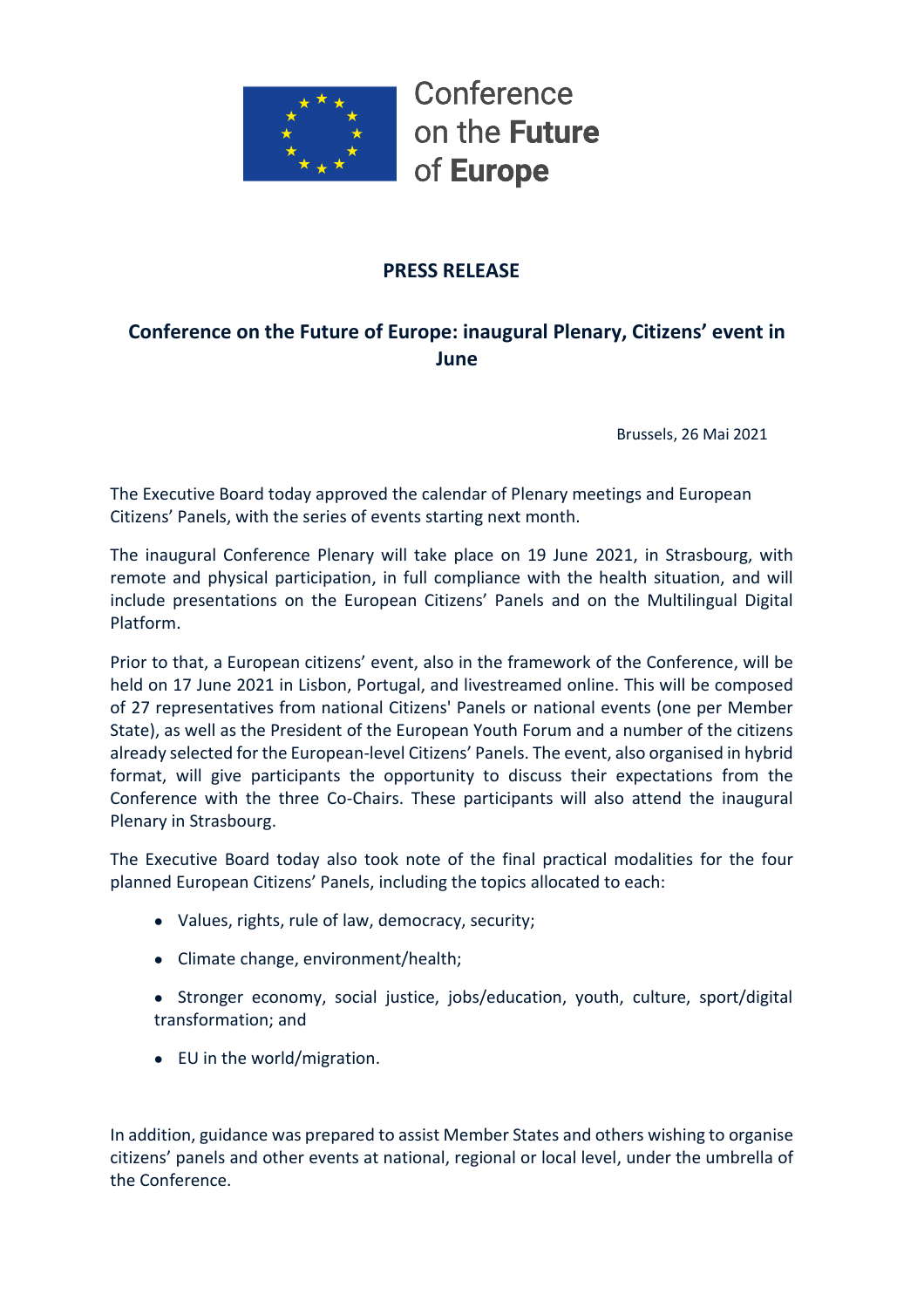

Conference on the **Future** of Europe

# **PRESS RELEASE**

# **Conference on the Future of Europe: inaugural Plenary, Citizens' event in June**

Brussels, 26 Mai 2021

The Executive Board today approved the calendar of Plenary meetings and European Citizens' Panels, with the series of events starting next month.

The inaugural Conference Plenary will take place on 19 June 2021, in Strasbourg, with remote and physical participation, in full compliance with the health situation, and will include presentations on the European Citizens' Panels and on the Multilingual Digital Platform.

Prior to that, a European citizens' event, also in the framework of the Conference, will be held on 17 June 2021 in Lisbon, Portugal, and livestreamed online. This will be composed of 27 representatives from national Citizens' Panels or national events (one per Member State), as well as the President of the European Youth Forum and a number of the citizens already selected for the European-level Citizens' Panels. The event, also organised in hybrid format, will give participants the opportunity to discuss their expectations from the Conference with the three Co-Chairs. These participants will also attend the inaugural Plenary in Strasbourg.

The Executive Board today also took note of the final practical modalities for the four planned European Citizens' Panels, including the topics allocated to each:

- Values, rights, rule of law, democracy, security;
- Climate change, environment/health;
- Stronger economy, social justice, jobs/education, youth, culture, sport/digital transformation; and
- EU in the world/migration.

In addition, guidance was prepared to assist Member States and others wishing to organise citizens' panels and other events at national, regional or local level, under the umbrella of the Conference.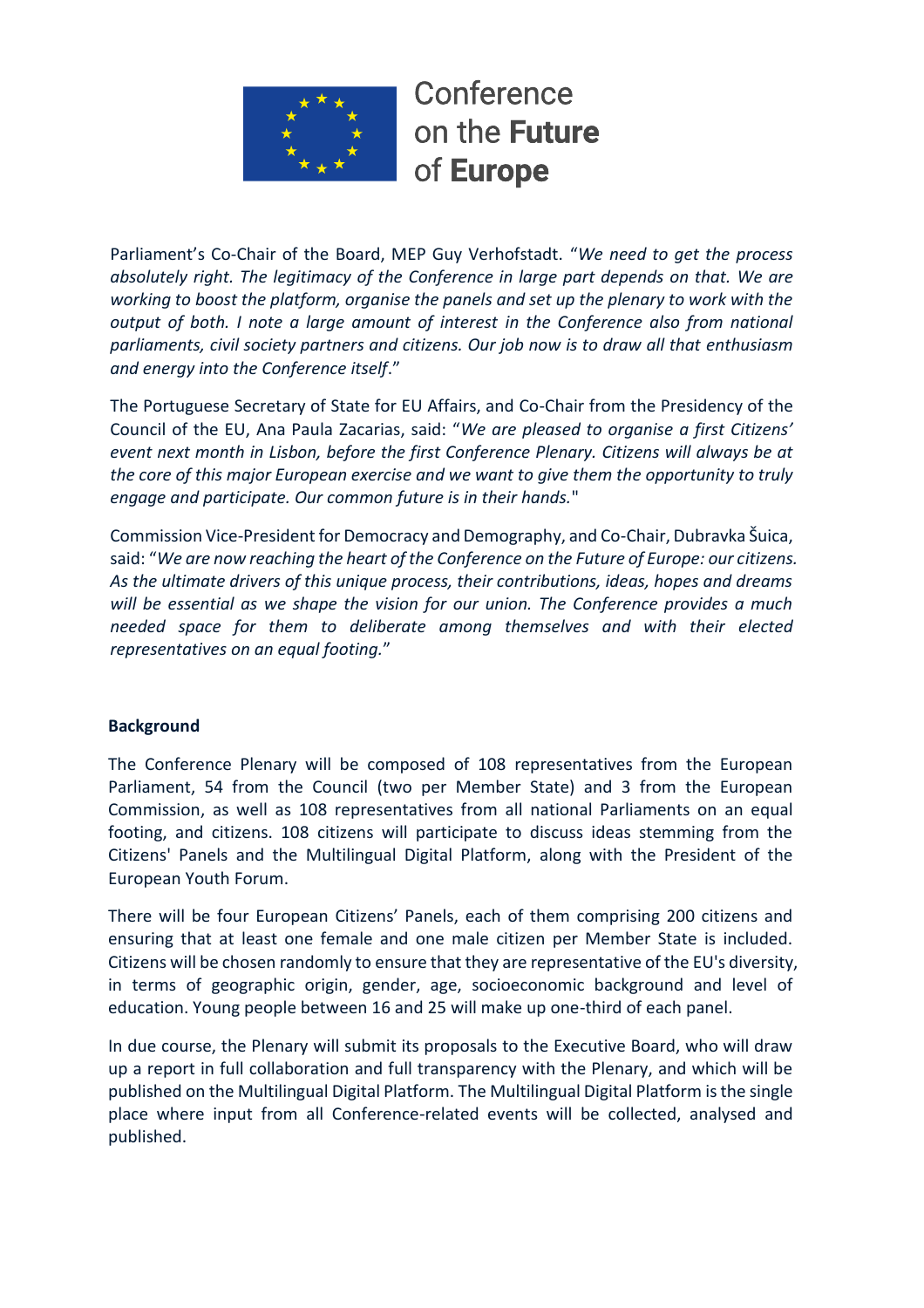

Conference on the Future of Europe

Parliament's Co-Chair of the Board, MEP Guy Verhofstadt. "*We need to get the process absolutely right. The legitimacy of the Conference in large part depends on that. We are working to boost the platform, organise the panels and set up the plenary to work with the output of both. I note a large amount of interest in the Conference also from national parliaments, civil society partners and citizens. Our job now is to draw all that enthusiasm and energy into the Conference itself*."

The Portuguese Secretary of State for EU Affairs, and Co-Chair from the Presidency of the Council of the EU, Ana Paula Zacarias, said: "*We are pleased to organise a first Citizens' event next month in Lisbon, before the first Conference Plenary. Citizens will always be at the core of this major European exercise and we want to give them the opportunity to truly engage and participate. Our common future is in their hands.*"

Commission Vice-President for Democracy and Demography, and Co-Chair, Dubravka Šuica, said: "*We are now reaching the heart of the Conference on the Future of Europe: our citizens. As the ultimate drivers of this unique process, their contributions, ideas, hopes and dreams will be essential as we shape the vision for our union. The Conference provides a much needed space for them to deliberate among themselves and with their elected representatives on an equal footing.*"

## **Background**

The Conference Plenary will be composed of 108 representatives from the European Parliament, 54 from the Council (two per Member State) and 3 from the European Commission, as well as 108 representatives from all national Parliaments on an equal footing, and citizens. 108 citizens will participate to discuss ideas stemming from the Citizens' Panels and the Multilingual Digital Platform, along with the President of the European Youth Forum.

There will be four European Citizens' Panels, each of them comprising 200 citizens and ensuring that at least one female and one male citizen per Member State is included. Citizens will be chosen randomly to ensure that they are representative of the EU's diversity, in terms of geographic origin, gender, age, socioeconomic background and level of education. Young people between 16 and 25 will make up one-third of each panel.

In due course, the Plenary will submit its proposals to the Executive Board, who will draw up a report in full collaboration and full transparency with the Plenary, and which will be published on the Multilingual Digital Platform. The Multilingual Digital Platform is the single place where input from all Conference-related events will be collected, analysed and published.